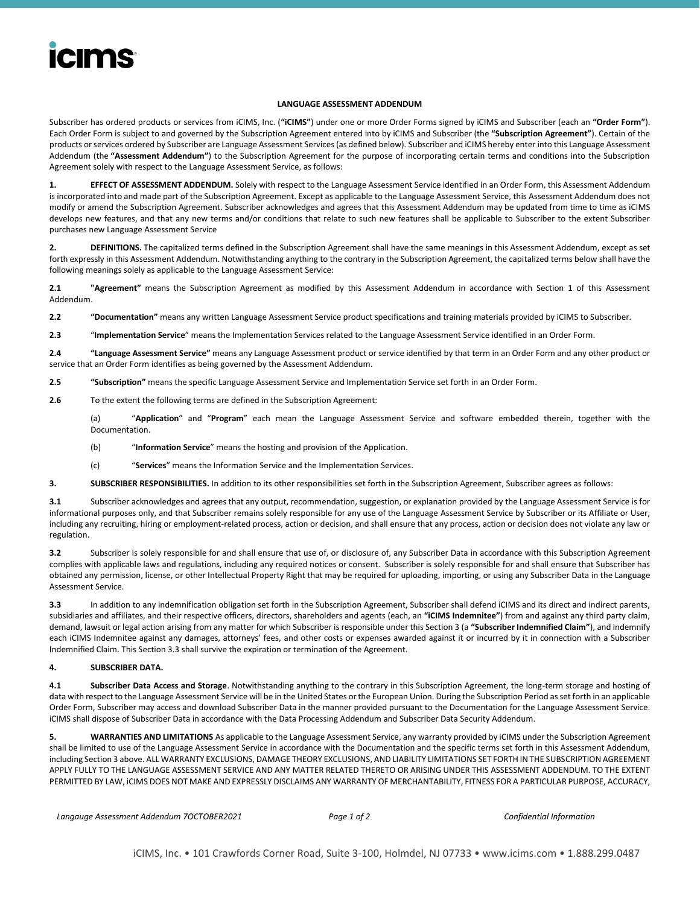# **icims**

#### **LANGUAGE ASSESSMENT ADDENDUM**

Subscriber has ordered products or services from iCIMS, Inc. (**"iCIMS"**) under one or more Order Forms signed by iCIMS and Subscriber (each an **"Order Form"**). Each Order Form is subject to and governed by the Subscription Agreement entered into by iCIMS and Subscriber (the **"Subscription Agreement"**). Certain of the products or services ordered by Subscriber are Language Assessment Services (as defined below). Subscriber and iCIMS hereby enter into this Language Assessment Addendum (the **"Assessment Addendum"**) to the Subscription Agreement for the purpose of incorporating certain terms and conditions into the Subscription Agreement solely with respect to the Language Assessment Service, as follows:

**1. EFFECT OF ASSESSMENT ADDENDUM.** Solely with respect to the Language Assessment Service identified in an Order Form, this Assessment Addendum is incorporated into and made part of the Subscription Agreement. Except as applicable to the Language Assessment Service, this Assessment Addendum does not modify or amend the Subscription Agreement. Subscriber acknowledges and agrees that this Assessment Addendum may be updated from time to time as iCIMS develops new features, and that any new terms and/or conditions that relate to such new features shall be applicable to Subscriber to the extent Subscriber purchases new Language Assessment Service

**2. DEFINITIONS.** The capitalized terms defined in the Subscription Agreement shall have the same meanings in this Assessment Addendum, except as set forth expressly in this Assessment Addendum. Notwithstanding anything to the contrary in the Subscription Agreement, the capitalized terms below shall have the following meanings solely as applicable to the Language Assessment Service:

**2.1 "Agreement"** means the Subscription Agreement as modified by this Assessment Addendum in accordance with Section 1 of this Assessment Addendum.

**2.2 "Documentation"** means any written Language Assessment Service product specifications and training materials provided by iCIMS to Subscriber.

**2.3** "**Implementation Service**" means the Implementation Services related to the Language Assessment Service identified in an Order Form.

**2.4 "Language Assessment Service"** means any Language Assessment product or service identified by that term in an Order Form and any other product or service that an Order Form identifies as being governed by the Assessment Addendum.

**2.5 "Subscription"** means the specific Language Assessment Service and Implementation Service set forth in an Order Form.

**2.6** To the extent the following terms are defined in the Subscription Agreement:

(a) "**Application**" and "**Program**" each mean the Language Assessment Service and software embedded therein, together with the Documentation.

- (b) "**Information Service**" means the hosting and provision of the Application.
- (c) "**Services**" means the Information Service and the Implementation Services.
- **3. SUBSCRIBER RESPONSIBILITIES.** In addition to its other responsibilities set forth in the Subscription Agreement, Subscriber agrees as follows:

**3.1** Subscriber acknowledges and agrees that any output, recommendation, suggestion, or explanation provided by the Language Assessment Service is for informational purposes only, and that Subscriber remains solely responsible for any use of the Language Assessment Service by Subscriber or its Affiliate or User, including any recruiting, hiring or employment-related process, action or decision, and shall ensure that any process, action or decision does not violate any law or regulation.

**3.2** Subscriber is solely responsible for and shall ensure that use of, or disclosure of, any Subscriber Data in accordance with this Subscription Agreement complies with applicable laws and regulations, including any required notices or consent. Subscriber is solely responsible for and shall ensure that Subscriber has obtained any permission, license, or other Intellectual Property Right that may be required for uploading, importing, or using any Subscriber Data in the Language Assessment Service.

**3.3** In addition to any indemnification obligation set forth in the Subscription Agreement, Subscriber shall defend iCIMS and its direct and indirect parents, subsidiaries and affiliates, and their respective officers, directors, shareholders and agents (each, an **"iCIMS Indemnitee"**) from and against any third party claim, demand, lawsuit or legal action arising from any matter for which Subscriber is responsible under this Section 3 (a **"Subscriber Indemnified Claim"**), and indemnify each iCIMS Indemnitee against any damages, attorneys' fees, and other costs or expenses awarded against it or incurred by it in connection with a Subscriber Indemnified Claim. This Section 3.3 shall survive the expiration or termination of the Agreement.

### **4. SUBSCRIBER DATA.**

**4.1 Subscriber Data Access and Storage**. Notwithstanding anything to the contrary in this Subscription Agreement, the long-term storage and hosting of data with respect to the Language Assessment Service will be in the United States or the European Union. During the Subscription Period as set forth in an applicable Order Form, Subscriber may access and download Subscriber Data in the manner provided pursuant to the Documentation for the Language Assessment Service. iCIMS shall dispose of Subscriber Data in accordance with the Data Processing Addendum and Subscriber Data Security Addendum.

**5. WARRANTIES AND LIMITATIONS** As applicable to the Language Assessment Service, any warranty provided by iCIMS under the Subscription Agreement shall be limited to use of the Language Assessment Service in accordance with the Documentation and the specific terms set forth in this Assessment Addendum, including Section 3 above. ALL WARRANTY EXCLUSIONS, DAMAGE THEORY EXCLUSIONS, AND LIABILITY LIMITATIONS SET FORTH IN THE SUBSCRIPTION AGREEMENT APPLY FULLY TO THE LANGUAGE ASSESSMENT SERVICE AND ANY MATTER RELATED THERETO OR ARISING UNDER THIS ASSESSMENT ADDENDUM. TO THE EXTENT PERMITTED BY LAW, iCIMS DOES NOT MAKE AND EXPRESSLY DISCLAIMS ANY WARRANTY OF MERCHANTABILITY, FITNESS FOR A PARTICULAR PURPOSE, ACCURACY,

```
Langauge Assessment Addendum 7OCTOBER2021 Page 1 of 2 Confidential Information
```